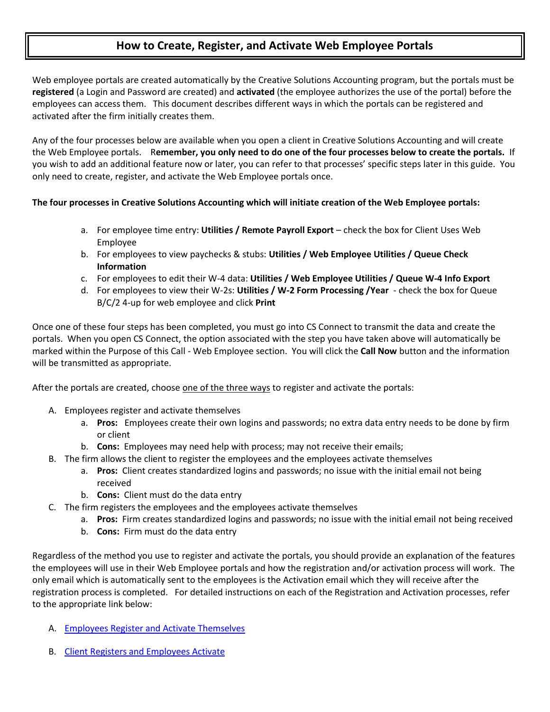## **How to Create, Register, and Activate Web Employee Portals**

Web employee portals are created automatically by the Creative Solutions Accounting program, but the portals must be **registered** (a Login and Password are created) and **activated** (the employee authorizes the use of the portal) before the employees can access them. This document describes different ways in which the portals can be registered and activated after the firm initially creates them.

Any of the four processes below are available when you open a client in Creative Solutions Accounting and will create the Web Employee portals. R**emember, you only need to do one of the four processes below to create the portals.** If you wish to add an additional feature now or later, you can refer to that processes' specific steps later in this guide. You only need to create, register, and activate the Web Employee portals once.

## **The four processes in Creative Solutions Accounting which will initiate creation of the Web Employee portals:**

- a. For employee time entry: **Utilities / Remote Payroll Export** check the box for Client Uses Web Employee
- b. For employees to view paychecks & stubs: **Utilities / Web Employee Utilities / Queue Check Information**
- c. For employees to edit their W-4 data: **Utilities / Web Employee Utilities / Queue W-4 Info Export**
- d. For employees to view their W-2s: **Utilities / W-2 Form Processing /Year** check the box for Queue B/C/2 4-up for web employee and click **Print**

Once one of these four steps has been completed, you must go into CS Connect to transmit the data and create the portals. When you open CS Connect, the option associated with the step you have taken above will automatically be marked within the Purpose of this Call - Web Employee section. You will click the **Call Now** button and the information will be transmitted as appropriate.

After the portals are created, choose one of the three ways to register and activate the portals:

- A. Employees register and activate themselves
	- a. **Pros:** Employees create their own logins and passwords; no extra data entry needs to be done by firm or client
	- b. **Cons:** Employees may need help with process; may not receive their emails;
- B. The firm allows the client to register the employees and the employees activate themselves
	- a. **Pros:** Client creates standardized logins and passwords; no issue with the initial email not being received
	- b. **Cons:** Client must do the data entry
- C. The firm registers the employees and the employees activate themselves
	- a. **Pros:** Firm creates standardized logins and passwords; no issue with the initial email not being received
	- b. **Cons:** Firm must do the data entry

Regardless of the method you use to register and activate the portals, you should provide an explanation of the features the employees will use in their Web Employee portals and how the registration and/or activation process will work. The only email which is automatically sent to the employees is the Activation email which they will receive after the registration process is completed. For detailed instructions on each of the Registration and Activation processes, refer to the appropriate link below:

- A. [Employees Register and Activate Themselves](http://cs.thomsonreuters.com/ua/_pdfs/multi_prod/cs_us_en/nosearch/MULTI_Web_Employee_Setup_Method_A.pdf)
- B. [Client Registers and Employees Activate](http://cs.thomsonreuters.com/ua/_pdfs/multi_prod/cs_us_en/nosearch/MULTI_Web_Employee_Setup_Method_B.pdf)